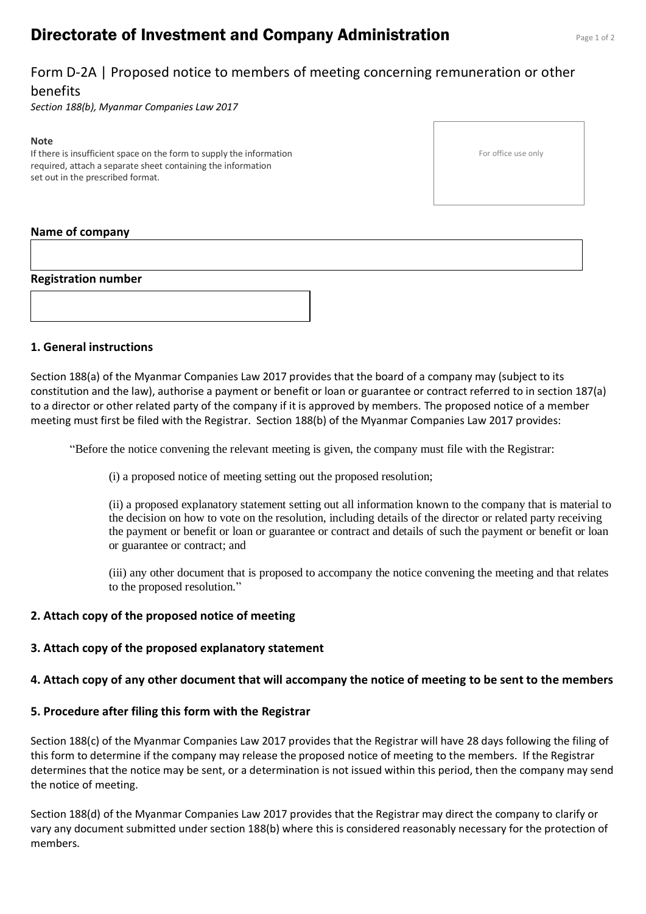# **Directorate of Investment and Company Administration** Page 1 of 2

## Form D-2A | Proposed notice to members of meeting concerning remuneration or other benefits

*Section 188(b), Myanmar Companies Law 2017*

#### **Note**

If there is insufficient space on the form to supply the information required, attach a separate sheet containing the information set out in the prescribed format.

For office use only

### **Name of company**

#### **Registration number**

### **1. General instructions**

Section 188(a) of the Myanmar Companies Law 2017 provides that the board of a company may (subject to its constitution and the law), authorise a payment or benefit or loan or guarantee or contract referred to in section 187(a) to a director or other related party of the company if it is approved by members. The proposed notice of a member meeting must first be filed with the Registrar. Section 188(b) of the Myanmar Companies Law 2017 provides:

"Before the notice convening the relevant meeting is given, the company must file with the Registrar:

(i) a proposed notice of meeting setting out the proposed resolution;

(ii) a proposed explanatory statement setting out all information known to the company that is material to the decision on how to vote on the resolution, including details of the director or related party receiving the payment or benefit or loan or guarantee or contract and details of such the payment or benefit or loan or guarantee or contract; and

(iii) any other document that is proposed to accompany the notice convening the meeting and that relates to the proposed resolution."

### **2. Attach copy of the proposed notice of meeting**

### **3. Attach copy of the proposed explanatory statement**

### **4. Attach copy of any other document that will accompany the notice of meeting to be sent to the members**

### **5. Procedure after filing this form with the Registrar**

Section 188(c) of the Myanmar Companies Law 2017 provides that the Registrar will have 28 days following the filing of this form to determine if the company may release the proposed notice of meeting to the members. If the Registrar determines that the notice may be sent, or a determination is not issued within this period, then the company may send the notice of meeting.

Section 188(d) of the Myanmar Companies Law 2017 provides that the Registrar may direct the company to clarify or vary any document submitted under section 188(b) where this is considered reasonably necessary for the protection of members.